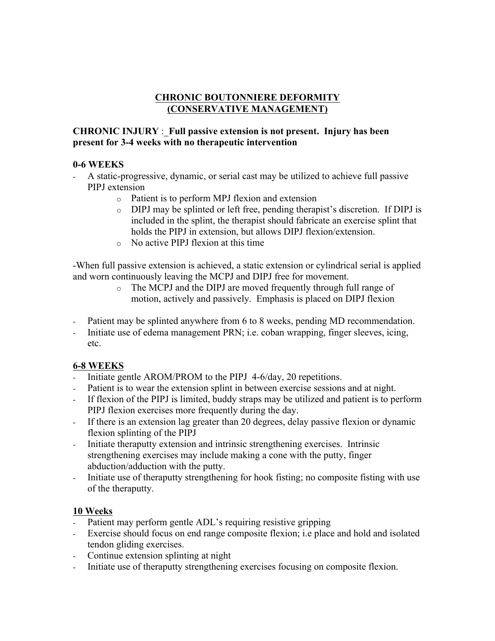## **CHRONIC BOUTONNIERE DEFORMITY (CONSERVATIVE MANAGEMENT)**

### **CHRONIC INJURY** : **Full passive extension is not present. Injury has been present for 3-4 weeks with no therapeutic intervention**

## **0-6 WEEKS**

- A static-progressive, dynamic, or serial cast may be utilized to achieve full passive PIPJ extension
	- o Patient is to perform MPJ flexion and extension
	- o DIPJ may be splinted or left free, pending therapist's discretion. If DIPJ is included in the splint, the therapist should fabricate an exercise splint that holds the PIPJ in extension, but allows DIPJ flexion/extension.
	- o No active PIPJ flexion at this time

-When full passive extension is achieved, a static extension or cylindrical serial is applied and worn continuously leaving the MCPJ and DIPJ free for movement.

- o The MCPJ and the DIPJ are moved frequently through full range of motion, actively and passively. Emphasis is placed on DIPJ flexion
- Patient may be splinted anywhere from 6 to 8 weeks, pending MD recommendation.
- Initiate use of edema management PRN; i.e. coban wrapping, finger sleeves, icing, etc.

# **6-8 WEEKS**

- Initiate gentle AROM/PROM to the PIPJ 4-6/day, 20 repetitions.
- Patient is to wear the extension splint in between exercise sessions and at night.
- If flexion of the PIPJ is limited, buddy straps may be utilized and patient is to perform PIPJ flexion exercises more frequently during the day.
- If there is an extension lag greater than 20 degrees, delay passive flexion or dynamic flexion splinting of the PIPJ
- Initiate theraputty extension and intrinsic strengthening exercises. Intrinsic strengthening exercises may include making a cone with the putty, finger abduction/adduction with the putty.
- Initiate use of theraputty strengthening for hook fisting; no composite fisting with use of the theraputty.

# **10 Weeks**

- Patient may perform gentle ADL's requiring resistive gripping
- Exercise should focus on end range composite flexion; i.e place and hold and isolated tendon gliding exercises.
- Continue extension splinting at night
- Initiate use of theraputty strengthening exercises focusing on composite flexion.